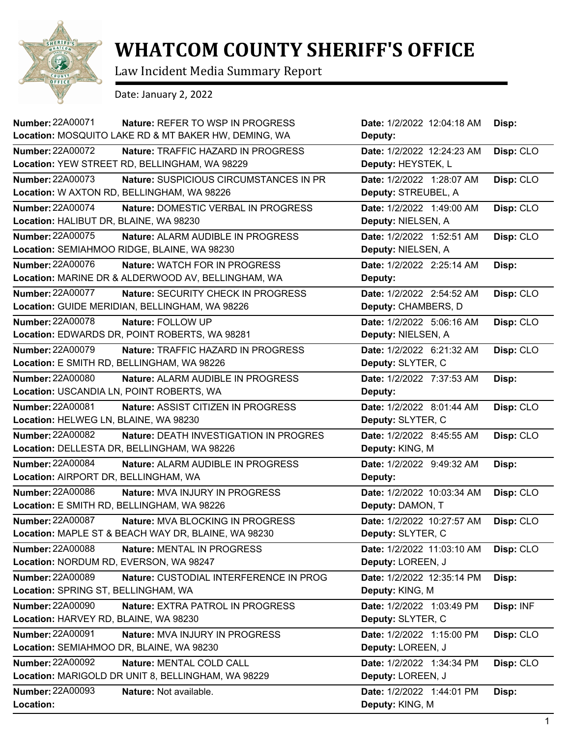

## **WHATCOM COUNTY SHERIFF'S OFFICE**

Law Incident Media Summary Report

Date: January 2, 2022

| <b>Number: 22A00071</b><br><b>Nature: REFER TO WSP IN PROGRESS</b> | Date: 1/2/2022 12:04:18 AM | Disp:     |
|--------------------------------------------------------------------|----------------------------|-----------|
| Location: MOSQUITO LAKE RD & MT BAKER HW, DEMING, WA               | Deputy:                    |           |
| <b>Number: 22A00072</b><br>Nature: TRAFFIC HAZARD IN PROGRESS      | Date: 1/2/2022 12:24:23 AM | Disp: CLO |
| Location: YEW STREET RD, BELLINGHAM, WA 98229                      | Deputy: HEYSTEK, L         |           |
| <b>Number: 22A00073</b><br>Nature: SUSPICIOUS CIRCUMSTANCES IN PR  | Date: 1/2/2022 1:28:07 AM  | Disp: CLO |
| Location: W AXTON RD, BELLINGHAM, WA 98226                         | Deputy: STREUBEL, A        |           |
| <b>Number: 22A00074</b><br>Nature: DOMESTIC VERBAL IN PROGRESS     | Date: 1/2/2022 1:49:00 AM  | Disp: CLO |
| Location: HALIBUT DR, BLAINE, WA 98230                             | Deputy: NIELSEN, A         |           |
| <b>Number: 22A00075</b><br>Nature: ALARM AUDIBLE IN PROGRESS       | Date: 1/2/2022 1:52:51 AM  | Disp: CLO |
| Location: SEMIAHMOO RIDGE, BLAINE, WA 98230                        | Deputy: NIELSEN, A         |           |
| <b>Number: 22A00076</b><br><b>Nature: WATCH FOR IN PROGRESS</b>    | Date: 1/2/2022 2:25:14 AM  | Disp:     |
| Location: MARINE DR & ALDERWOOD AV, BELLINGHAM, WA                 | Deputy:                    |           |
| <b>Number: 22A00077</b><br>Nature: SECURITY CHECK IN PROGRESS      | Date: 1/2/2022 2:54:52 AM  | Disp: CLO |
| Location: GUIDE MERIDIAN, BELLINGHAM, WA 98226                     | Deputy: CHAMBERS, D        |           |
| <b>Number: 22A00078</b><br>Nature: FOLLOW UP                       | Date: 1/2/2022 5:06:16 AM  | Disp: CLO |
| Location: EDWARDS DR, POINT ROBERTS, WA 98281                      | Deputy: NIELSEN, A         |           |
| <b>Number: 22A00079</b><br>Nature: TRAFFIC HAZARD IN PROGRESS      | Date: 1/2/2022 6:21:32 AM  | Disp: CLO |
| Location: E SMITH RD, BELLINGHAM, WA 98226                         | Deputy: SLYTER, C          |           |
| <b>Number: 22A00080</b><br>Nature: ALARM AUDIBLE IN PROGRESS       | Date: 1/2/2022 7:37:53 AM  | Disp:     |
| Location: USCANDIA LN, POINT ROBERTS, WA                           | Deputy:                    |           |
| <b>Number: 22A00081</b><br>Nature: ASSIST CITIZEN IN PROGRESS      | Date: 1/2/2022 8:01:44 AM  | Disp: CLO |
| Location: HELWEG LN, BLAINE, WA 98230                              | Deputy: SLYTER, C          |           |
| <b>Number: 22A00082</b><br>Nature: DEATH INVESTIGATION IN PROGRES  | Date: 1/2/2022 8:45:55 AM  | Disp: CLO |
| Location: DELLESTA DR, BELLINGHAM, WA 98226                        | Deputy: KING, M            |           |
| <b>Number: 22A00084</b><br>Nature: ALARM AUDIBLE IN PROGRESS       | Date: 1/2/2022 9:49:32 AM  | Disp:     |
| Location: AIRPORT DR, BELLINGHAM, WA                               | Deputy:                    |           |
| <b>Number: 22A00086</b><br><b>Nature: MVA INJURY IN PROGRESS</b>   | Date: 1/2/2022 10:03:34 AM | Disp: CLO |
| Location: E SMITH RD, BELLINGHAM, WA 98226                         | Deputy: DAMON, T           |           |
| <b>Number: 22A00087</b><br>Nature: MVA BLOCKING IN PROGRESS        | Date: 1/2/2022 10:27:57 AM | Disp: CLO |
| Location: MAPLE ST & BEACH WAY DR, BLAINE, WA 98230                | Deputy: SLYTER, C          |           |
| <b>Number: 22A00088</b><br>Nature: MENTAL IN PROGRESS              | Date: 1/2/2022 11:03:10 AM | Disp: CLO |
| Location: NORDUM RD, EVERSON, WA 98247                             | Deputy: LOREEN, J          |           |
| Number: 22A00089<br>Nature: CUSTODIAL INTERFERENCE IN PROG         | Date: 1/2/2022 12:35:14 PM | Disp:     |
| Location: SPRING ST, BELLINGHAM, WA                                | Deputy: KING, M            |           |
| <b>Number: 22A00090</b><br>Nature: EXTRA PATROL IN PROGRESS        | Date: 1/2/2022 1:03:49 PM  | Disp: INF |
| Location: HARVEY RD, BLAINE, WA 98230                              | Deputy: SLYTER, C          |           |
| Number: 22A00091<br>Nature: MVA INJURY IN PROGRESS                 | Date: 1/2/2022 1:15:00 PM  | Disp: CLO |
| Location: SEMIAHMOO DR, BLAINE, WA 98230                           | Deputy: LOREEN, J          |           |
| <b>Number: 22A00092</b><br>Nature: MENTAL COLD CALL                | Date: 1/2/2022 1:34:34 PM  | Disp: CLO |
| Location: MARIGOLD DR UNIT 8, BELLINGHAM, WA 98229                 | Deputy: LOREEN, J          |           |
| <b>Number: 22A00093</b><br>Nature: Not available.                  | Date: 1/2/2022 1:44:01 PM  | Disp:     |
| Location:                                                          | Deputy: KING, M            |           |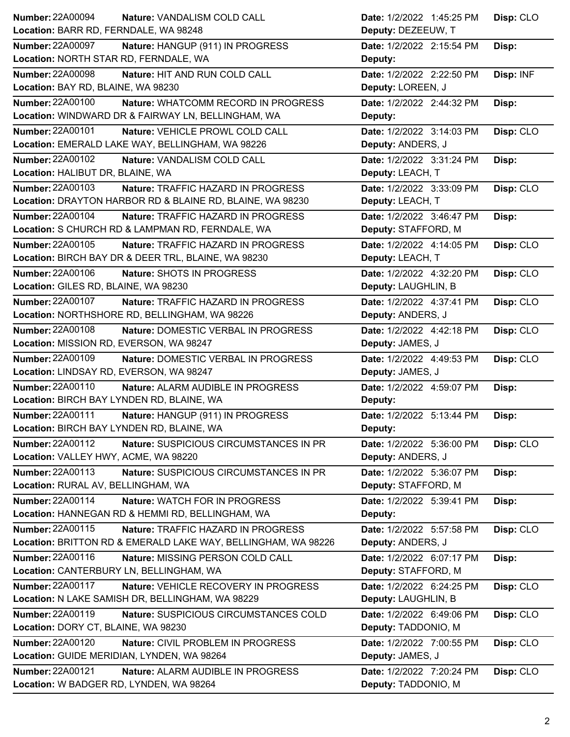| <b>Number: 22A00094</b>                                       | Disp: CLO                 |
|---------------------------------------------------------------|---------------------------|
| Nature: VANDALISM COLD CALL                                   | Date: 1/2/2022 1:45:25 PM |
| Location: BARR RD, FERNDALE, WA 98248                         | Deputy: DEZEEUW, T        |
| <b>Number: 22A00097</b>                                       | Date: 1/2/2022 2:15:54 PM |
| Nature: HANGUP (911) IN PROGRESS                              | Disp:                     |
| Location: NORTH STAR RD, FERNDALE, WA                         | Deputy:                   |
| <b>Number: 22A00098</b>                                       | Date: 1/2/2022 2:22:50 PM |
| Nature: HIT AND RUN COLD CALL                                 | Disp: INF                 |
| Location: BAY RD, BLAINE, WA 98230                            | Deputy: LOREEN, J         |
| <b>Number: 22A00100</b>                                       | Date: 1/2/2022 2:44:32 PM |
| Nature: WHATCOMM RECORD IN PROGRESS                           | Disp:                     |
| Location: WINDWARD DR & FAIRWAY LN, BELLINGHAM, WA            | Deputy:                   |
| <b>Number: 22A00101</b>                                       | Date: 1/2/2022 3:14:03 PM |
| Nature: VEHICLE PROWL COLD CALL                               | Disp: CLO                 |
| Location: EMERALD LAKE WAY, BELLINGHAM, WA 98226              | Deputy: ANDERS, J         |
| Number: 22A00102                                              | Date: 1/2/2022 3:31:24 PM |
| Nature: VANDALISM COLD CALL                                   | Disp:                     |
| Location: HALIBUT DR, BLAINE, WA                              | Deputy: LEACH, T          |
| Number: 22A00103                                              | Date: 1/2/2022 3:33:09 PM |
| Nature: TRAFFIC HAZARD IN PROGRESS                            | Disp: CLO                 |
| Location: DRAYTON HARBOR RD & BLAINE RD, BLAINE, WA 98230     | Deputy: LEACH, T          |
| Number: 22A00104                                              | Date: 1/2/2022 3:46:47 PM |
| Nature: TRAFFIC HAZARD IN PROGRESS                            | Disp:                     |
| Location: S CHURCH RD & LAMPMAN RD, FERNDALE, WA              | Deputy: STAFFORD, M       |
| Number: 22A00105                                              | Date: 1/2/2022 4:14:05 PM |
| Nature: TRAFFIC HAZARD IN PROGRESS                            | Disp: CLO                 |
| Location: BIRCH BAY DR & DEER TRL, BLAINE, WA 98230           | Deputy: LEACH, T          |
| Number: 22A00106                                              | Disp: CLO                 |
| Nature: SHOTS IN PROGRESS                                     | Date: 1/2/2022 4:32:20 PM |
| Location: GILES RD, BLAINE, WA 98230                          | Deputy: LAUGHLIN, B       |
| <b>Number: 22A00107</b>                                       | Disp: CLO                 |
| Nature: TRAFFIC HAZARD IN PROGRESS                            | Date: 1/2/2022 4:37:41 PM |
| Location: NORTHSHORE RD, BELLINGHAM, WA 98226                 | Deputy: ANDERS, J         |
| <b>Number: 22A00108</b>                                       | Disp: CLO                 |
| <b>Nature: DOMESTIC VERBAL IN PROGRESS</b>                    | Date: 1/2/2022 4:42:18 PM |
| Location: MISSION RD, EVERSON, WA 98247                       | Deputy: JAMES, J          |
| Number: 22A00109                                              | Date: 1/2/2022 4:49:53 PM |
| Nature: DOMESTIC VERBAL IN PROGRESS                           | Disp: CLO                 |
| Location: LINDSAY RD, EVERSON, WA 98247                       | Deputy: JAMES, J          |
|                                                               |                           |
| <b>Number: 22A00110</b>                                       | Date: 1/2/2022 4:59:07 PM |
| Nature: ALARM AUDIBLE IN PROGRESS                             | Disp:                     |
| Location: BIRCH BAY LYNDEN RD, BLAINE, WA                     | Deputy:                   |
| Number: 22A00111                                              | Date: 1/2/2022 5:13:44 PM |
| Nature: HANGUP (911) IN PROGRESS                              | Disp:                     |
| Location: BIRCH BAY LYNDEN RD, BLAINE, WA                     | Deputy:                   |
| Number: 22A00112                                              | Disp: CLO                 |
| Nature: SUSPICIOUS CIRCUMSTANCES IN PR                        | Date: 1/2/2022 5:36:00 PM |
| Location: VALLEY HWY, ACME, WA 98220                          | Deputy: ANDERS, J         |
| Number: 22A00113                                              | Date: 1/2/2022 5:36:07 PM |
| Nature: SUSPICIOUS CIRCUMSTANCES IN PR                        | Disp:                     |
| Location: RURAL AV, BELLINGHAM, WA                            | Deputy: STAFFORD, M       |
| <b>Number: 22A00114</b>                                       | Date: 1/2/2022 5:39:41 PM |
| Nature: WATCH FOR IN PROGRESS                                 | Disp:                     |
| Location: HANNEGAN RD & HEMMI RD, BELLINGHAM, WA              | Deputy:                   |
| Number: 22A00115                                              | Disp: CLO                 |
| Nature: TRAFFIC HAZARD IN PROGRESS                            | Date: 1/2/2022 5:57:58 PM |
| Location: BRITTON RD & EMERALD LAKE WAY, BELLINGHAM, WA 98226 | Deputy: ANDERS, J         |
| Number: 22A00116                                              | Date: 1/2/2022 6:07:17 PM |
| Nature: MISSING PERSON COLD CALL                              | Disp:                     |
| Location: CANTERBURY LN, BELLINGHAM, WA                       | Deputy: STAFFORD, M       |
| <b>Number: 22A00117</b>                                       | Date: 1/2/2022 6:24:25 PM |
| Nature: VEHICLE RECOVERY IN PROGRESS                          | Disp: CLO                 |
| Location: N LAKE SAMISH DR, BELLINGHAM, WA 98229              | Deputy: LAUGHLIN, B       |
| <b>Number: 22A00119</b>                                       | Date: 1/2/2022 6:49:06 PM |
| Nature: SUSPICIOUS CIRCUMSTANCES COLD                         | Disp: CLO                 |
| Location: DORY CT, BLAINE, WA 98230                           | Deputy: TADDONIO, M       |
| <b>Number: 22A00120</b>                                       | Disp: CLO                 |
| <b>Nature: CIVIL PROBLEM IN PROGRESS</b>                      | Date: 1/2/2022 7:00:55 PM |
| Location: GUIDE MERIDIAN, LYNDEN, WA 98264                    | Deputy: JAMES, J          |
| <b>Number: 22A00121</b>                                       | Disp: CLO                 |
| Nature: ALARM AUDIBLE IN PROGRESS                             | Date: 1/2/2022 7:20:24 PM |